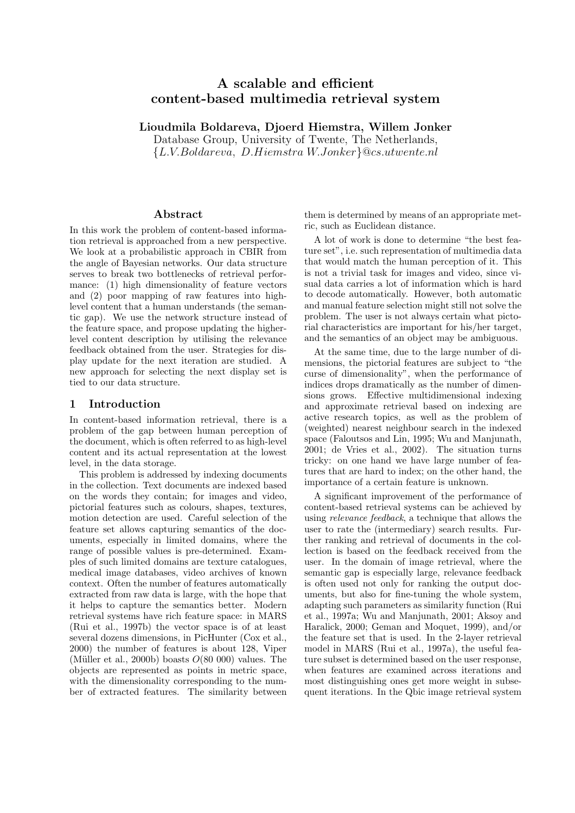# A scalable and efficient content-based multimedia retrieval system

Lioudmila Boldareva, Djoerd Hiemstra, Willem Jonker

Database Group, University of Twente, The Netherlands, {L.V.Boldareva, D.Hiemstra W.Jonker}@cs.utwente.nl

### Abstract

In this work the problem of content-based information retrieval is approached from a new perspective. We look at a probabilistic approach in CBIR from the angle of Bayesian networks. Our data structure serves to break two bottlenecks of retrieval performance: (1) high dimensionality of feature vectors and (2) poor mapping of raw features into highlevel content that a human understands (the semantic gap). We use the network structure instead of the feature space, and propose updating the higherlevel content description by utilising the relevance feedback obtained from the user. Strategies for display update for the next iteration are studied. A new approach for selecting the next display set is tied to our data structure.

# 1 Introduction

In content-based information retrieval, there is a problem of the gap between human perception of the document, which is often referred to as high-level content and its actual representation at the lowest level, in the data storage.

This problem is addressed by indexing documents in the collection. Text documents are indexed based on the words they contain; for images and video, pictorial features such as colours, shapes, textures, motion detection are used. Careful selection of the feature set allows capturing semantics of the documents, especially in limited domains, where the range of possible values is pre-determined. Examples of such limited domains are texture catalogues, medical image databases, video archives of known context. Often the number of features automatically extracted from raw data is large, with the hope that it helps to capture the semantics better. Modern retrieval systems have rich feature space: in MARS (Rui et al., 1997b) the vector space is of at least several dozens dimensions, in PicHunter (Cox et al., 2000) the number of features is about 128, Viper (Müller et al., 2000b) boasts  $O(80\,000)$  values. The objects are represented as points in metric space, with the dimensionality corresponding to the number of extracted features. The similarity between them is determined by means of an appropriate metric, such as Euclidean distance.

A lot of work is done to determine "the best feature set", i.e. such representation of multimedia data that would match the human perception of it. This is not a trivial task for images and video, since visual data carries a lot of information which is hard to decode automatically. However, both automatic and manual feature selection might still not solve the problem. The user is not always certain what pictorial characteristics are important for his/her target, and the semantics of an object may be ambiguous.

At the same time, due to the large number of dimensions, the pictorial features are subject to "the curse of dimensionality", when the performance of indices drops dramatically as the number of dimensions grows. Effective multidimensional indexing and approximate retrieval based on indexing are active research topics, as well as the problem of (weighted) nearest neighbour search in the indexed space (Faloutsos and Lin, 1995; Wu and Manjunath, 2001; de Vries et al., 2002). The situation turns tricky: on one hand we have large number of features that are hard to index; on the other hand, the importance of a certain feature is unknown.

A significant improvement of the performance of content-based retrieval systems can be achieved by using relevance feedback, a technique that allows the user to rate the (intermediary) search results. Further ranking and retrieval of documents in the collection is based on the feedback received from the user. In the domain of image retrieval, where the semantic gap is especially large, relevance feedback is often used not only for ranking the output documents, but also for fine-tuning the whole system, adapting such parameters as similarity function (Rui et al., 1997a; Wu and Manjunath, 2001; Aksoy and Haralick, 2000; Geman and Moquet, 1999), and/or the feature set that is used. In the 2-layer retrieval model in MARS (Rui et al., 1997a), the useful feature subset is determined based on the user response, when features are examined across iterations and most distinguishing ones get more weight in subsequent iterations. In the Qbic image retrieval system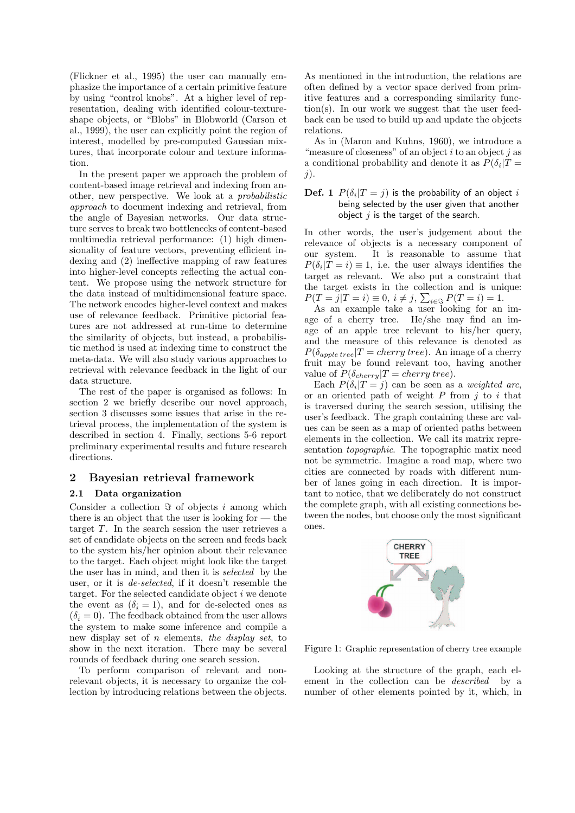(Flickner et al., 1995) the user can manually emphasize the importance of a certain primitive feature by using "control knobs". At a higher level of representation, dealing with identified colour-textureshape objects, or "Blobs" in Blobworld (Carson et al., 1999), the user can explicitly point the region of interest, modelled by pre-computed Gaussian mixtures, that incorporate colour and texture information.

In the present paper we approach the problem of content-based image retrieval and indexing from another, new perspective. We look at a probabilistic approach to document indexing and retrieval, from the angle of Bayesian networks. Our data structure serves to break two bottlenecks of content-based multimedia retrieval performance: (1) high dimensionality of feature vectors, preventing efficient indexing and (2) ineffective mapping of raw features into higher-level concepts reflecting the actual content. We propose using the network structure for the data instead of multidimensional feature space. The network encodes higher-level context and makes use of relevance feedback. Primitive pictorial features are not addressed at run-time to determine the similarity of objects, but instead, a probabilistic method is used at indexing time to construct the meta-data. We will also study various approaches to retrieval with relevance feedback in the light of our data structure.

The rest of the paper is organised as follows: In section 2 we briefly describe our novel approach, section 3 discusses some issues that arise in the retrieval process, the implementation of the system is described in section 4. Finally, sections 5-6 report preliminary experimental results and future research directions.

# 2 Bayesian retrieval framework

### 2.1 Data organization

Consider a collection  $\Im$  of objects i among which there is an object that the user is looking for — the target  $T$ . In the search session the user retrieves a set of candidate objects on the screen and feeds back to the system his/her opinion about their relevance to the target. Each object might look like the target the user has in mind, and then it is selected by the user, or it is de-selected, if it doesn't resemble the target. For the selected candidate object  $i$  we denote the event as  $(\delta_i = 1)$ , and for de-selected ones as  $(\delta_i = 0)$ . The feedback obtained from the user allows the system to make some inference and compile a new display set of n elements, the display set, to show in the next iteration. There may be several rounds of feedback during one search session.

To perform comparison of relevant and nonrelevant objects, it is necessary to organize the collection by introducing relations between the objects. As mentioned in the introduction, the relations are often defined by a vector space derived from primitive features and a corresponding similarity function(s). In our work we suggest that the user feedback can be used to build up and update the objects relations.

As in (Maron and Kuhns, 1960), we introduce a "measure of closeness" of an object  $i$  to an object  $j$  as a conditional probability and denote it as  $P(\delta_i | T =$ j).

# $\mathbf{Def.} \ \mathbf{1} \ \ P(\delta_i | T = j)$  is the probability of an object  $i$ being selected by the user given that another object  $j$  is the target of the search.

In other words, the user's judgement about the relevance of objects is a necessary component of our system. It is reasonable to assume that  $P(\delta_i | T = i) \equiv 1$ , i.e. the user always identifies the target as relevant. We also put a constraint that the target exists in the collection and is unique:  $P(T = j | T = i) \equiv 0, i \neq j, \sum_{i \in \mathcal{F}} P(T = i) = 1.$ 

As an example take a user looking for an image of a cherry tree. He/she may find an image of an apple tree relevant to his/her query, and the measure of this relevance is denoted as  $P(\delta_{apple\, tree} | T = cherry\, tree).$  An image of a cherry fruit may be found relevant too, having another value of  $P(\delta_{cherry}|T = cherry\,tree).$ 

Each  $P(\delta_i | T = j)$  can be seen as a weighted arc, or an oriented path of weight  $P$  from  $j$  to  $i$  that is traversed during the search session, utilising the user's feedback. The graph containing these arc values can be seen as a map of oriented paths between elements in the collection. We call its matrix representation topographic. The topographic matix need not be symmetric. Imagine a road map, where two cities are connected by roads with different number of lanes going in each direction. It is important to notice, that we deliberately do not construct the complete graph, with all existing connections between the nodes, but choose only the most significant ones.



Figure 1: Graphic representation of cherry tree example

Looking at the structure of the graph, each element in the collection can be described by a number of other elements pointed by it, which, in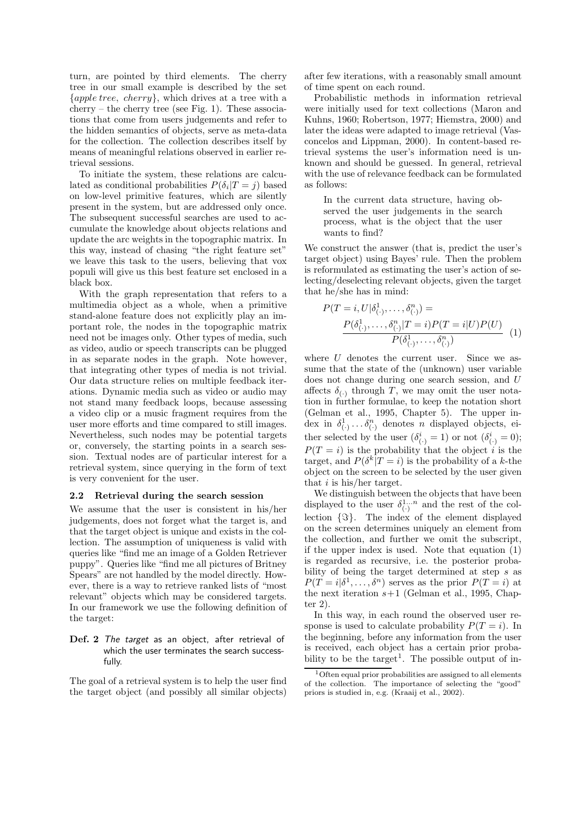turn, are pointed by third elements. The cherry tree in our small example is described by the set {apple tree, cherry}, which drives at a tree with a cherry – the cherry tree (see Fig. 1). These associations that come from users judgements and refer to the hidden semantics of objects, serve as meta-data for the collection. The collection describes itself by means of meaningful relations observed in earlier retrieval sessions.

To initiate the system, these relations are calculated as conditional probabilities  $P(\delta_i | T = j)$  based on low-level primitive features, which are silently present in the system, but are addressed only once. The subsequent successful searches are used to accumulate the knowledge about objects relations and update the arc weights in the topographic matrix. In this way, instead of chasing "the right feature set" we leave this task to the users, believing that vox populi will give us this best feature set enclosed in a black box.

With the graph representation that refers to a multimedia object as a whole, when a primitive stand-alone feature does not explicitly play an important role, the nodes in the topographic matrix need not be images only. Other types of media, such as video, audio or speech transcripts can be plugged in as separate nodes in the graph. Note however, that integrating other types of media is not trivial. Our data structure relies on multiple feedback iterations. Dynamic media such as video or audio may not stand many feedback loops, because assessing a video clip or a music fragment requires from the user more efforts and time compared to still images. Nevertheless, such nodes may be potential targets or, conversely, the starting points in a search session. Textual nodes are of particular interest for a retrieval system, since querying in the form of text is very convenient for the user.

### 2.2 Retrieval during the search session

We assume that the user is consistent in his/her judgements, does not forget what the target is, and that the target object is unique and exists in the collection. The assumption of uniqueness is valid with queries like "find me an image of a Golden Retriever puppy". Queries like "find me all pictures of Britney Spears" are not handled by the model directly. However, there is a way to retrieve ranked lists of "most relevant" objects which may be considered targets. In our framework we use the following definition of the target:

# Def. 2 The target as an object, after retrieval of which the user terminates the search successfully.

The goal of a retrieval system is to help the user find the target object (and possibly all similar objects)

after few iterations, with a reasonably small amount of time spent on each round.

Probabilistic methods in information retrieval were initially used for text collections (Maron and Kuhns, 1960; Robertson, 1977; Hiemstra, 2000) and later the ideas were adapted to image retrieval (Vasconcelos and Lippman, 2000). In content-based retrieval systems the user's information need is unknown and should be guessed. In general, retrieval with the use of relevance feedback can be formulated as follows:

In the current data structure, having observed the user judgements in the search process, what is the object that the user wants to find?

We construct the answer (that is, predict the user's target object) using Bayes' rule. Then the problem is reformulated as estimating the user's action of selecting/deselecting relevant objects, given the target that he/she has in mind:

$$
P(T = i, U | \delta_{(\cdot)}^1, \dots, \delta_{(\cdot)}^n) =
$$
  
\n
$$
\frac{P(\delta_{(\cdot)}^1, \dots, \delta_{(\cdot)}^n | T = i) P(T = i | U) P(U)}{P(\delta_{(\cdot)}^1, \dots, \delta_{(\cdot)}^n)}
$$
 (1)

where  $U$  denotes the current user. Since we assume that the state of the (unknown) user variable does not change during one search session, and U affects  $\delta_{(.)}$  through T, we may omit the user notation in further formulae, to keep the notation short (Gelman et al., 1995, Chapter 5). The upper index in  $\delta^1_{(.)} \dots \delta^n_{(.)}$  denotes n displayed objects, either selected by the user  $(\delta^i_{(\cdot)} = 1)$  or not  $(\delta^i_{(\cdot)} = 0)$ ;  $P(T = i)$  is the probability that the object i is the target, and  $P(\delta^k | T = i)$  is the probability of a k-the object on the screen to be selected by the user given that  $i$  is his/her target.

We distinguish between the objects that have been displayed to the user  $\delta^{1...n}_{(\cdot)}$  and the rest of the collection  $\{\Im\}$ . The index of the element displayed on the screen determines uniquely an element from the collection, and further we omit the subscript, if the upper index is used. Note that equation (1) is regarded as recursive, i.e. the posterior probability of being the target determined at step s as  $P(T = i | \delta^1, \ldots, \delta^n)$  serves as the prior  $P(T = i)$  at the next iteration  $s+1$  (Gelman et al., 1995, Chapter 2).

In this way, in each round the observed user response is used to calculate probability  $P(T = i)$ . In the beginning, before any information from the user is received, each object has a certain prior probability to be the  $target<sup>1</sup>$ . The possible output of in-

<sup>1</sup>Often equal prior probabilities are assigned to all elements of the collection. The importance of selecting the "good" priors is studied in, e.g. (Kraaij et al., 2002).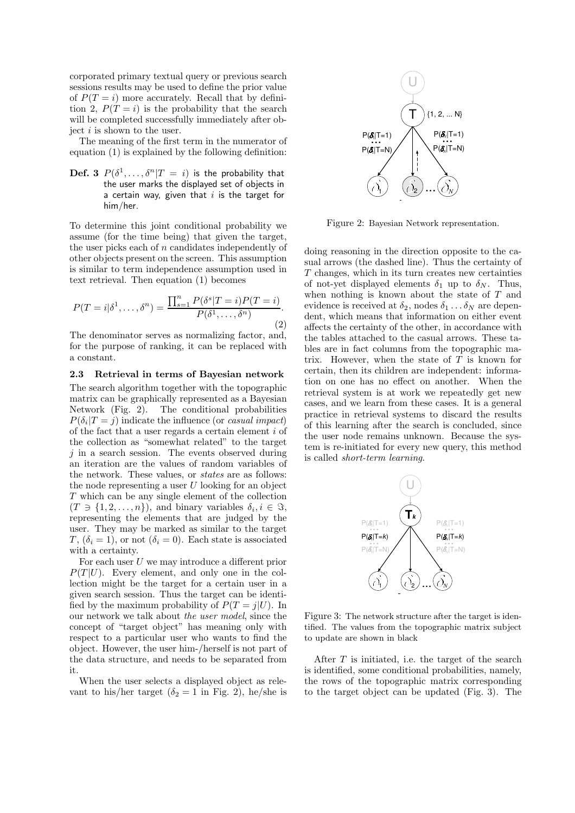corporated primary textual query or previous search sessions results may be used to define the prior value of  $P(T = i)$  more accurately. Recall that by definition 2,  $P(T = i)$  is the probability that the search will be completed successfully immediately after object  $i$  is shown to the user.

The meaning of the first term in the numerator of equation (1) is explained by the following definition:

 $\mathbf{Def.} \; \mathbf{3} \; \; P(\delta^1, \ldots, \delta^n | T = i) \; \; \text{is the probability that}$ the user marks the displayed set of objects in a certain way, given that  $i$  is the target for him/her.

To determine this joint conditional probability we assume (for the time being) that given the target, the user picks each of  $n$  candidates independently of other objects present on the screen. This assumption is similar to term independence assumption used in text retrieval. Then equation (1) becomes

$$
P(T = i | \delta^1, \dots, \delta^n) = \frac{\prod_{s=1}^n P(\delta^s | T = i) P(T = i)}{P(\delta^1, \dots, \delta^n)}.
$$
\n(2)

The denominator serves as normalizing factor, and, for the purpose of ranking, it can be replaced with a constant.

### 2.3 Retrieval in terms of Bayesian network

The search algorithm together with the topographic matrix can be graphically represented as a Bayesian Network (Fig. 2). The conditional probabilities  $P(\delta_i | T = j)$  indicate the influence (or *casual impact*) of the fact that a user regards a certain element i of the collection as "somewhat related" to the target  $i$  in a search session. The events observed during an iteration are the values of random variables of the network. These values, or states are as follows: the node representing a user  $U$  looking for an object T which can be any single element of the collection  $(T \ni \{1, 2, \ldots, n\})$ , and binary variables  $\delta_i, i \in \Im$ , representing the elements that are judged by the user. They may be marked as similar to the target  $T, (\delta_i = 1)$ , or not  $(\delta_i = 0)$ . Each state is associated with a certainty.

For each user  $U$  we may introduce a different prior  $P(T | U)$ . Every element, and only one in the collection might be the target for a certain user in a given search session. Thus the target can be identified by the maximum probability of  $P(T = j|U)$ . In our network we talk about the user model, since the concept of "target object" has meaning only with respect to a particular user who wants to find the object. However, the user him-/herself is not part of the data structure, and needs to be separated from it.

When the user selects a displayed object as relevant to his/her target ( $\delta_2 = 1$  in Fig. 2), he/she is



Figure 2: Bayesian Network representation.

doing reasoning in the direction opposite to the casual arrows (the dashed line). Thus the certainty of T changes, which in its turn creates new certainties of not-yet displayed elements  $\delta_1$  up to  $\delta_N$ . Thus, when nothing is known about the state of  $T$  and evidence is received at  $\delta_2$ , nodes  $\delta_1 \ldots \delta_N$  are dependent, which means that information on either event affects the certainty of the other, in accordance with the tables attached to the casual arrows. These tables are in fact columns from the topographic matrix. However, when the state of  $T$  is known for certain, then its children are independent: information on one has no effect on another. When the retrieval system is at work we repeatedly get new cases, and we learn from these cases. It is a general practice in retrieval systems to discard the results of this learning after the search is concluded, since the user node remains unknown. Because the system is re-initiated for every new query, this method is called short-term learning.



Figure 3: The network structure after the target is identified. The values from the topographic matrix subject to update are shown in black

After  $T$  is initiated, i.e. the target of the search is identified, some conditional probabilities, namely, the rows of the topographic matrix corresponding to the target object can be updated (Fig. 3). The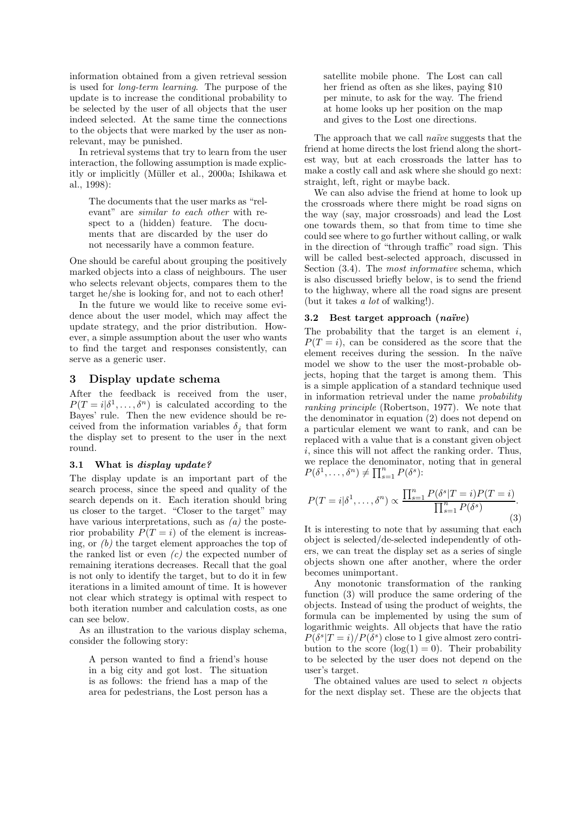information obtained from a given retrieval session is used for long-term learning. The purpose of the update is to increase the conditional probability to be selected by the user of all objects that the user indeed selected. At the same time the connections to the objects that were marked by the user as nonrelevant, may be punished.

In retrieval systems that try to learn from the user interaction, the following assumption is made explicitly or implicitly (Müller et al., 2000a; Ishikawa et al., 1998):

The documents that the user marks as "relevant" are similar to each other with respect to a (hidden) feature. The documents that are discarded by the user do not necessarily have a common feature.

One should be careful about grouping the positively marked objects into a class of neighbours. The user who selects relevant objects, compares them to the target he/she is looking for, and not to each other!

In the future we would like to receive some evidence about the user model, which may affect the update strategy, and the prior distribution. However, a simple assumption about the user who wants to find the target and responses consistently, can serve as a generic user.

# 3 Display update schema

After the feedback is received from the user,  $P(T = i | \delta^1, \dots, \delta^n)$  is calculated according to the Bayes' rule. Then the new evidence should be received from the information variables  $\delta_i$  that form the display set to present to the user in the next round.

# 3.1 What is display update?

The display update is an important part of the search process, since the speed and quality of the search depends on it. Each iteration should bring us closer to the target. "Closer to the target" may have various interpretations, such as  $(a)$  the posterior probability  $P(T = i)$  of the element is increasing, or (b) the target element approaches the top of the ranked list or even  $(c)$  the expected number of remaining iterations decreases. Recall that the goal is not only to identify the target, but to do it in few iterations in a limited amount of time. It is however not clear which strategy is optimal with respect to both iteration number and calculation costs, as one can see below.

As an illustration to the various display schema, consider the following story:

A person wanted to find a friend's house in a big city and got lost. The situation is as follows: the friend has a map of the area for pedestrians, the Lost person has a satellite mobile phone. The Lost can call her friend as often as she likes, paying \$10 per minute, to ask for the way. The friend at home looks up her position on the map and gives to the Lost one directions.

The approach that we call *naïve* suggests that the friend at home directs the lost friend along the shortest way, but at each crossroads the latter has to make a costly call and ask where she should go next: straight, left, right or maybe back.

We can also advise the friend at home to look up the crossroads where there might be road signs on the way (say, major crossroads) and lead the Lost one towards them, so that from time to time she could see where to go further without calling, or walk in the direction of "through traffic" road sign. This will be called best-selected approach, discussed in Section  $(3.4)$ . The *most informative* schema, which is also discussed briefly below, is to send the friend to the highway, where all the road signs are present (but it takes a lot of walking!).

# 3.2 Best target approach  $(na\ddot{v}e)$

The probability that the target is an element  $i$ ,  $P(T = i)$ , can be considered as the score that the element receives during the session. In the naïve model we show to the user the most-probable objects, hoping that the target is among them. This is a simple application of a standard technique used in information retrieval under the name probability ranking principle (Robertson, 1977). We note that the denominator in equation (2) does not depend on a particular element we want to rank, and can be replaced with a value that is a constant given object i, since this will not affect the ranking order. Thus, we replace the denominator, noting that in general  $P(\delta^1, \ldots, \delta^n) \neq \prod_{s=1}^n P(\delta^s)$ :

$$
P(T = i|\delta^1, \dots, \delta^n) \propto \frac{\prod_{s=1}^n P(\delta^s | T = i) P(T = i)}{\prod_{s=1}^n P(\delta^s)}.
$$
\n(3)

It is interesting to note that by assuming that each object is selected/de-selected independently of others, we can treat the display set as a series of single objects shown one after another, where the order becomes unimportant.

Any monotonic transformation of the ranking function (3) will produce the same ordering of the objects. Instead of using the product of weights, the formula can be implemented by using the sum of logarithmic weights. All objects that have the ratio  $P(\delta^s | T = i) / P(\delta^s)$  close to 1 give almost zero contribution to the score  $(log(1) = 0)$ . Their probability to be selected by the user does not depend on the user's target.

The obtained values are used to select  $n$  objects for the next display set. These are the objects that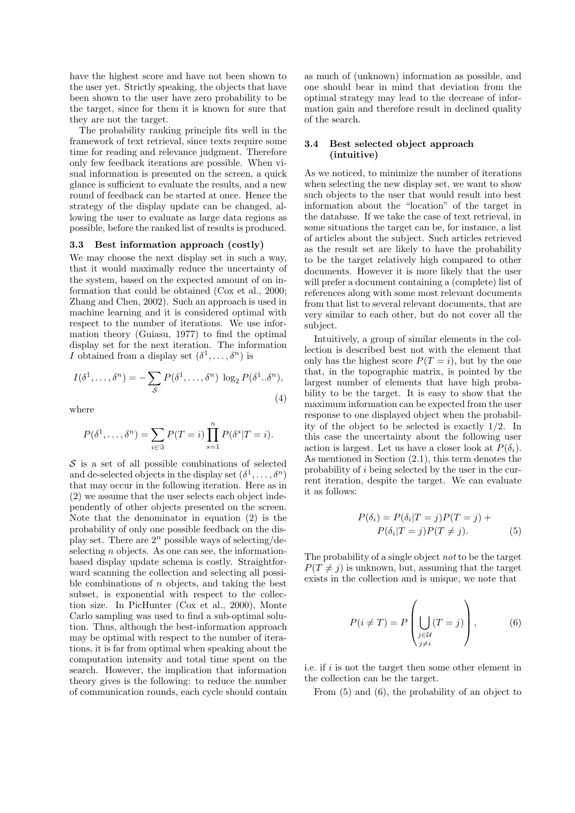have the highest score and have not been shown to the user yet. Strictly speaking, the objects that have been shown to the user have zero probability to be the target, since for them it is known for sure that they are not the target.

The probability ranking principle fits well in the framework of text retrieval, since texts require some time for reading and relevance judgment. Therefore only few feedback iterations are possible. When visual information is presented on the screen, a quick glance is sufficient to evaluate the results, and a new round of feedback can be started at once. Hence the strategy of the display update can be changed, allowing the user to evaluate as large data regions as possible, before the ranked list of results is produced.

#### 3.3 Best information approach (costly)

We may choose the next display set in such a way, that it would maximally reduce the uncertainty of the system, based on the expected amount of on information that could be obtained (Cox et al., 2000; Zhang and Chen, 2002). Such an approach is used in machine learning and it is considered optimal with respect to the number of iterations. We use information theory (Guiasu, 1977) to find the optimal display set for the next iteration. The information *I* obtained from a display set  $(\delta^1, \ldots, \delta^n)$  is

$$
I(\delta^1, \dots, \delta^n) = -\sum_{\mathcal{S}} P(\delta^1, \dots, \delta^n) \log_2 P(\delta^1 \dots \delta^n),
$$
\n(4)

where

$$
P(\delta^1, \dots, \delta^n) = \sum_{i \in \mathfrak{F}} P(T = i) \prod_{s=1}^n P(\delta^s | T = i).
$$

 $\mathcal S$  is a set of all possible combinations of selected and de-selected objects in the display set  $(\delta^1, \ldots, \delta^n)$ that may occur in the following iteration. Here as in (2) we assume that the user selects each object independently of other objects presented on the screen. Note that the denominator in equation (2) is the probability of only one possible feedback on the display set. There are  $2^n$  possible ways of selecting/deselecting  $n$  objects. As one can see, the informationbased display update schema is costly. Straightforward scanning the collection and selecting all possible combinations of  $n$  objects, and taking the best subset, is exponential with respect to the collection size. In PicHunter (Cox et al., 2000), Monte Carlo sampling was used to find a sub-optimal solution. Thus, although the best-information approach may be optimal with respect to the number of iterations, it is far from optimal when speaking about the computation intensity and total time spent on the search. However, the implication that information theory gives is the following: to reduce the number of communication rounds, each cycle should contain as much of (unknown) information as possible, and one should bear in mind that deviation from the optimal strategy may lead to the decrease of information gain and therefore result in declined quality of the search.

### 3.4 Best selected object approach (intuitive)

As we noticed, to minimize the number of iterations when selecting the new display set, we want to show such objects to the user that would result into best information about the "location" of the target in the database. If we take the case of text retrieval, in some situations the target can be, for instance, a list of articles about the subject. Such articles retrieved as the result set are likely to have the probability to be the target relatively high compared to other documents. However it is more likely that the user will prefer a document containing a (complete) list of references along with some most relevant documents from that list to several relevant documents, that are very similar to each other, but do not cover all the subject.

Intuitively, a group of similar elements in the collection is described best not with the element that only has the highest score  $P(T = i)$ , but by the one that, in the topographic matrix, is pointed by the largest number of elements that have high probability to be the target. It is easy to show that the maximum information can be expected from the user response to one displayed object when the probability of the object to be selected is exactly 1/2. In this case the uncertainty about the following user action is largest. Let us have a closer look at  $P(\delta_i)$ . As mentioned in Section (2.1), this term denotes the probability of i being selected by the user in the current iteration, despite the target. We can evaluate it as follows:

$$
P(\delta_i) = P(\delta_i | T = j)P(T = j) +
$$
  
\n
$$
P(\delta_i | T = j)P(T \neq j).
$$
 (5)

The probability of a single object not to be the target  $P(T \neq i)$  is unknown, but, assuming that the target exists in the collection and is unique, we note that

$$
P(i \neq T) = P\left(\bigcup_{\substack{j \in \mathcal{U} \\ j \neq i}} (T = j)\right),\tag{6}
$$

i.e. if  $i$  is not the target then some other element in the collection can be the target.

From (5) and (6), the probability of an object to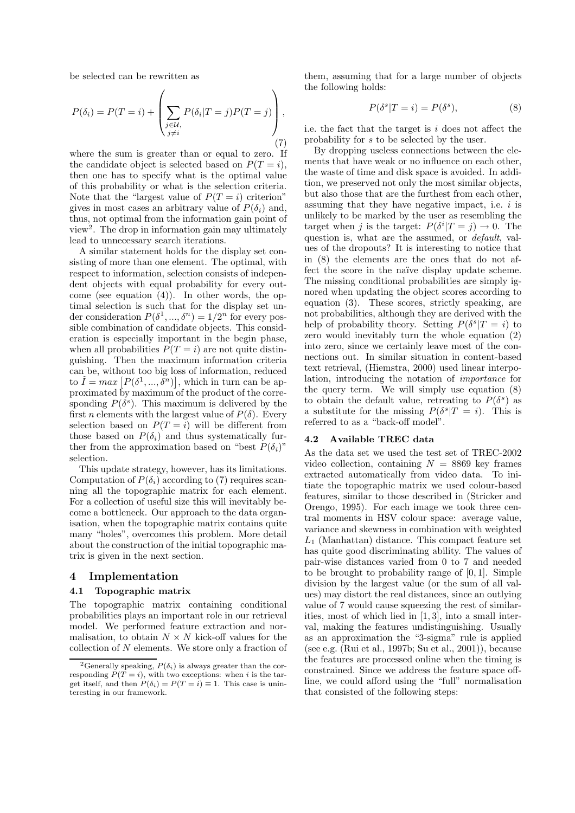be selected can be rewritten as

$$
P(\delta_i) = P(T = i) + \left(\sum_{\substack{j \in \mathcal{U}, \\ j \neq i}} P(\delta_i | T = j) P(T = j)\right),\tag{7}
$$

where the sum is greater than or equal to zero. If the candidate object is selected based on  $P(T = i)$ , then one has to specify what is the optimal value of this probability or what is the selection criteria. Note that the "largest value of  $P(T = i)$  criterion" gives in most cases an arbitrary value of  $P(\delta_i)$  and, thus, not optimal from the information gain point of view<sup>2</sup> . The drop in information gain may ultimately lead to unnecessary search iterations.

A similar statement holds for the display set consisting of more than one element. The optimal, with respect to information, selection consists of independent objects with equal probability for every outcome (see equation (4)). In other words, the optimal selection is such that for the display set under consideration  $P(\delta^1, ..., \delta^n) = 1/2^n$  for every possible combination of candidate objects. This consideration is especially important in the begin phase, when all probabilities  $P(T = i)$  are not quite distinguishing. Then the maximum information criteria can be, without too big loss of information, reduced to  $\tilde{I} = max [P(\delta^1, ..., \delta^n)],$  which in turn can be approximated by maximum of the product of the corresponding  $P(\delta^s)$ . This maximum is delivered by the first *n* elements with the largest value of  $P(\delta)$ . Every selection based on  $P(T = i)$  will be different from those based on  $P(\delta_i)$  and thus systematically further from the approximation based on "best  $P(\delta_i)$ " selection.

This update strategy, however, has its limitations. Computation of  $P(\delta_i)$  according to (7) requires scanning all the topographic matrix for each element. For a collection of useful size this will inevitably become a bottleneck. Our approach to the data organisation, when the topographic matrix contains quite many "holes", overcomes this problem. More detail about the construction of the initial topographic matrix is given in the next section.

### 4 Implementation

### 4.1 Topographic matrix

The topographic matrix containing conditional probabilities plays an important role in our retrieval model. We performed feature extraction and normalisation, to obtain  $N \times N$  kick-off values for the collection of  $N$  elements. We store only a fraction of them, assuming that for a large number of objects the following holds:

$$
P(\delta^s | T = i) = P(\delta^s),\tag{8}
$$

i.e. the fact that the target is i does not affect the probability for s to be selected by the user.

By dropping useless connections between the elements that have weak or no influence on each other, the waste of time and disk space is avoided. In addition, we preserved not only the most similar objects, but also those that are the furthest from each other, assuming that they have negative impact, i.e.  $i$  is unlikely to be marked by the user as resembling the target when j is the target:  $P(\delta^i | T = j) \rightarrow 0$ . The question is, what are the assumed, or default, values of the dropouts? It is interesting to notice that in (8) the elements are the ones that do not affect the score in the naïve display update scheme. The missing conditional probabilities are simply ignored when updating the object scores according to equation (3). These scores, strictly speaking, are not probabilities, although they are derived with the help of probability theory. Setting  $P(\delta^s | T = i)$  to zero would inevitably turn the whole equation (2) into zero, since we certainly leave most of the connections out. In similar situation in content-based text retrieval, (Hiemstra, 2000) used linear interpolation, introducing the notation of importance for the query term. We will simply use equation (8) to obtain the default value, retreating to  $P(\delta^s)$  as a substitute for the missing  $P(\delta^s | T = i)$ . This is referred to as a "back-off model".

### 4.2 Available TREC data

As the data set we used the test set of TREC-2002 video collection, containing  $N = 8869$  key frames extracted automatically from video data. To initiate the topographic matrix we used colour-based features, similar to those described in (Stricker and Orengo, 1995). For each image we took three central moments in HSV colour space: average value, variance and skewness in combination with weighted  $L_1$  (Manhattan) distance. This compact feature set has quite good discriminating ability. The values of pair-wise distances varied from 0 to 7 and needed to be brought to probability range of  $[0, 1]$ . Simple division by the largest value (or the sum of all values) may distort the real distances, since an outlying value of 7 would cause squeezing the rest of similarities, most of which lied in [1, 3], into a small interval, making the features undistinguishing. Usually as an approximation the "3-sigma" rule is applied (see e.g. (Rui et al., 1997b; Su et al., 2001)), because the features are processed online when the timing is constrained. Since we address the feature space offline, we could afford using the "full" normalisation that consisted of the following steps:

<sup>&</sup>lt;sup>2</sup>Generally speaking,  $P(\delta_i)$  is always greater than the corresponding  $P(T = i)$ , with two exceptions: when i is the target itself, and then  $P(\delta_i) = P(T = i) \equiv 1$ . This case is uninteresting in our framework.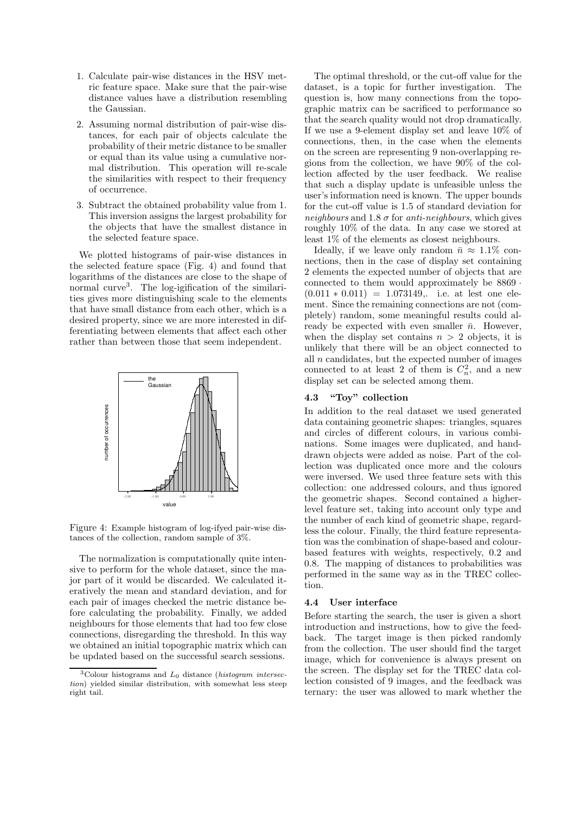- 1. Calculate pair-wise distances in the HSV metric feature space. Make sure that the pair-wise distance values have a distribution resembling the Gaussian.
- 2. Assuming normal distribution of pair-wise distances, for each pair of objects calculate the probability of their metric distance to be smaller or equal than its value using a cumulative normal distribution. This operation will re-scale the similarities with respect to their frequency of occurrence.
- 3. Subtract the obtained probability value from 1. This inversion assigns the largest probability for the objects that have the smallest distance in the selected feature space.

We plotted histograms of pair-wise distances in the selected feature space (Fig. 4) and found that logarithms of the distances are close to the shape of normal curve 3 . The log-igification of the similarities gives more distinguishing scale to the elements that have small distance from each other, which is a desired property, since we are more interested in differentiating between elements that affect each other rather than between those that seem independent.



Figure 4: Example histogram of log-ifyed pair-wise distances of the collection, random sample of 3%.

The normalization is computationally quite intensive to perform for the whole dataset, since the major part of it would be discarded. We calculated iteratively the mean and standard deviation, and for each pair of images checked the metric distance before calculating the probability. Finally, we added neighbours for those elements that had too few close connections, disregarding the threshold. In this way we obtained an initial topographic matrix which can be updated based on the successful search sessions.

The optimal threshold, or the cut-off value for the dataset, is a topic for further investigation. The question is, how many connections from the topographic matrix can be sacrificed to performance so that the search quality would not drop dramatically. If we use a 9-element display set and leave 10% of connections, then, in the case when the elements on the screen are representing 9 non-overlapping regions from the collection, we have 90% of the collection affected by the user feedback. We realise that such a display update is unfeasible unless the user's information need is known. The upper bounds for the cut-off value is 1.5 of standard deviation for neighbours and 1.8  $\sigma$  for anti-neighbours, which gives roughly 10% of the data. In any case we stored at least 1% of the elements as closest neighbours.

Ideally, if we leave only random  $\bar{n} \approx 1.1\%$  connections, then in the case of display set containing 2 elements the expected number of objects that are connected to them would approximately be 8869 ·  $(0.011 * 0.011) = 1.073149$ , i.e. at lest one element. Since the remaining connections are not (completely) random, some meaningful results could already be expected with even smaller  $\bar{n}$ . However, when the display set contains  $n > 2$  objects, it is unlikely that there will be an object connected to all  $n$  candidates, but the expected number of images connected to at least 2 of them is  $C_n^2$ , and a new display set can be selected among them.

# 4.3 "Toy" collection

In addition to the real dataset we used generated data containing geometric shapes: triangles, squares and circles of different colours, in various combinations. Some images were duplicated, and handdrawn objects were added as noise. Part of the collection was duplicated once more and the colours were inversed. We used three feature sets with this collection: one addressed colours, and thus ignored the geometric shapes. Second contained a higherlevel feature set, taking into account only type and the number of each kind of geometric shape, regardless the colour. Finally, the third feature representation was the combination of shape-based and colourbased features with weights, respectively, 0.2 and 0.8. The mapping of distances to probabilities was performed in the same way as in the TREC collection.

### 4.4 User interface

Before starting the search, the user is given a short introduction and instructions, how to give the feedback. The target image is then picked randomly from the collection. The user should find the target image, which for convenience is always present on the screen. The display set for the TREC data collection consisted of 9 images, and the feedback was ternary: the user was allowed to mark whether the

<sup>&</sup>lt;sup>3</sup>Colour histograms and  $L_0$  distance (histogram intersection) yielded similar distribution, with somewhat less steep right tail.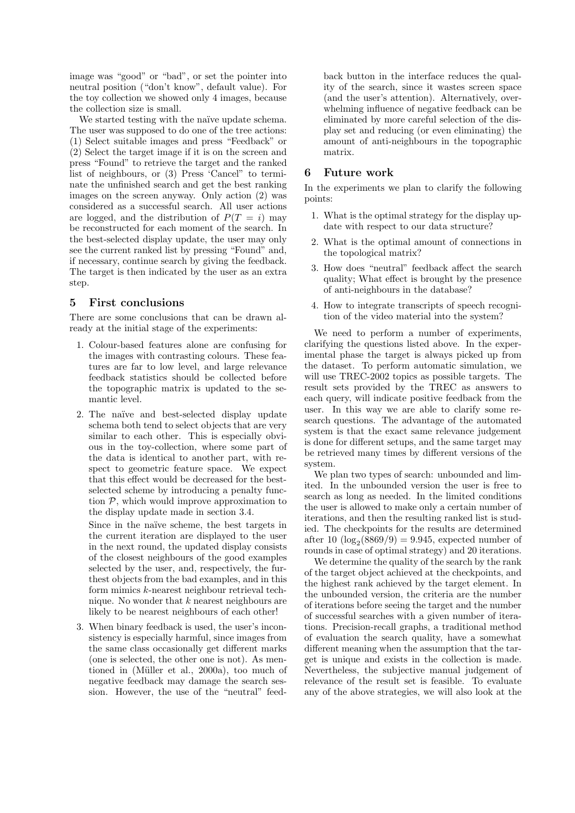image was "good" or "bad", or set the pointer into neutral position ("don't know", default value). For the toy collection we showed only 4 images, because the collection size is small.

We started testing with the naïve update schema. The user was supposed to do one of the tree actions: (1) Select suitable images and press "Feedback" or (2) Select the target image if it is on the screen and press "Found" to retrieve the target and the ranked list of neighbours, or (3) Press 'Cancel" to terminate the unfinished search and get the best ranking images on the screen anyway. Only action (2) was considered as a successful search. All user actions are logged, and the distribution of  $P(T = i)$  may be reconstructed for each moment of the search. In the best-selected display update, the user may only see the current ranked list by pressing "Found" and, if necessary, continue search by giving the feedback. The target is then indicated by the user as an extra step.

# 5 First conclusions

There are some conclusions that can be drawn already at the initial stage of the experiments:

- 1. Colour-based features alone are confusing for the images with contrasting colours. These features are far to low level, and large relevance feedback statistics should be collected before the topographic matrix is updated to the semantic level.
- 2. The naïve and best-selected display update schema both tend to select objects that are very similar to each other. This is especially obvious in the toy-collection, where some part of the data is identical to another part, with respect to geometric feature space. We expect that this effect would be decreased for the bestselected scheme by introducing a penalty function  $P$ , which would improve approximation to the display update made in section 3.4.

Since in the naïve scheme, the best targets in the current iteration are displayed to the user in the next round, the updated display consists of the closest neighbours of the good examples selected by the user, and, respectively, the furthest objects from the bad examples, and in this form mimics k-nearest neighbour retrieval technique. No wonder that  $k$  nearest neighbours are likely to be nearest neighbours of each other!

3. When binary feedback is used, the user's inconsistency is especially harmful, since images from the same class occasionally get different marks (one is selected, the other one is not). As mentioned in (Müller et al., 2000a), too much of negative feedback may damage the search session. However, the use of the "neutral" feedback button in the interface reduces the quality of the search, since it wastes screen space (and the user's attention). Alternatively, overwhelming influence of negative feedback can be eliminated by more careful selection of the display set and reducing (or even eliminating) the amount of anti-neighbours in the topographic matrix.

# Future work

In the experiments we plan to clarify the following points:

- 1. What is the optimal strategy for the display update with respect to our data structure?
- 2. What is the optimal amount of connections in the topological matrix?
- 3. How does "neutral" feedback affect the search quality; What effect is brought by the presence of anti-neighbours in the database?
- 4. How to integrate transcripts of speech recognition of the video material into the system?

We need to perform a number of experiments, clarifying the questions listed above. In the experimental phase the target is always picked up from the dataset. To perform automatic simulation, we will use TREC-2002 topics as possible targets. The result sets provided by the TREC as answers to each query, will indicate positive feedback from the user. In this way we are able to clarify some research questions. The advantage of the automated system is that the exact same relevance judgement is done for different setups, and the same target may be retrieved many times by different versions of the system.

We plan two types of search: unbounded and limited. In the unbounded version the user is free to search as long as needed. In the limited conditions the user is allowed to make only a certain number of iterations, and then the resulting ranked list is studied. The checkpoints for the results are determined after 10  $(\log_2(8869/9) = 9.945$ , expected number of rounds in case of optimal strategy) and 20 iterations.

We determine the quality of the search by the rank of the target object achieved at the checkpoints, and the highest rank achieved by the target element. In the unbounded version, the criteria are the number of iterations before seeing the target and the number of successful searches with a given number of iterations. Precision-recall graphs, a traditional method of evaluation the search quality, have a somewhat different meaning when the assumption that the target is unique and exists in the collection is made. Nevertheless, the subjective manual judgement of relevance of the result set is feasible. To evaluate any of the above strategies, we will also look at the